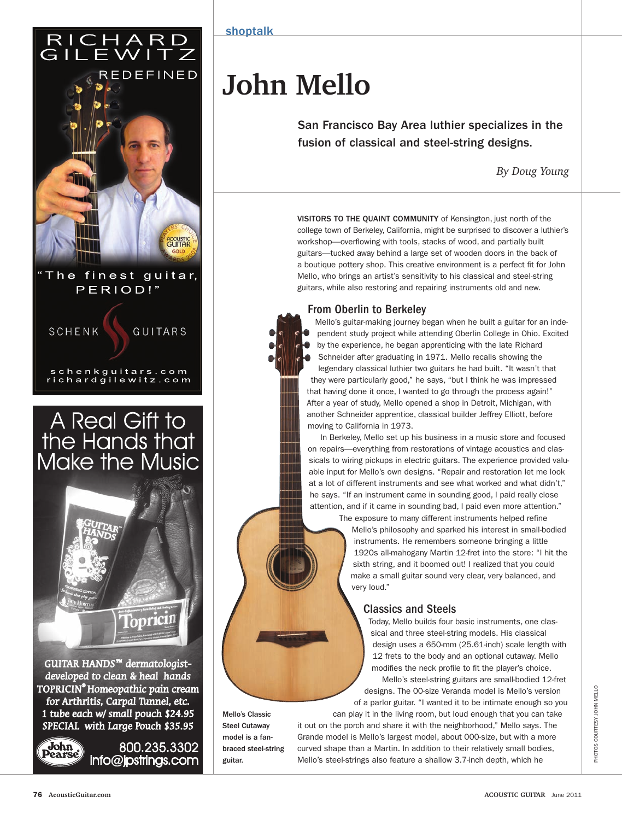## RICHARD<br>GILEWITZ



The finest guitar, PERIOD!"

**SCHENK GUITARS** 

schenkguitars.com<br>richardgilewitz.com

# A Real Gift to<br>the Hands that<br>Make the Music

Topricin

GUITAR HANDS<sup>™</sup> dermatologistdeveloped to clean & heal hands TOPRICIN® Homeopathic pain cream for Arthritis, Carpal Tunnel, etc. 1 tube each w/ small pouch \$24.95 SPECIAL with Large Pouch \$35.95



800.235.3302 info@jpstrings.com

Mello's Classic Steel Cutaway model is a fanbraced steel-string

guitar.

shoptalk

### **John Mello**

San Francisco Bay Area luthier specializes in the fusion of classical and steel-string designs.

*By Doug Young*

VISITORS TO THE QUAINT COMMUNITY of Kensington, just north of the college town of Berkeley, California, might be surprised to discover a luthier's workshop--overflowing with tools, stacks of wood, and partially built guitars—tucked away behind a large set of wooden doors in the back of a boutique pottery shop. This creative environment is a perfect fit for John Mello, who brings an artist's sensitivity to his classical and steel-string guitars, while also restoring and repairing instruments old and new.

#### From Oberlin to Berkeley

Mello's guitar-making journey began when he built a guitar for an independent study project while attending Oberlin College in Ohio. Excited by the experience, he began apprenticing with the late Richard Schneider after graduating in 1971. Mello recalls showing the legendary classical luthier two guitars he had built. "It wasn't that they were particularly good," he says, "but I think he was impressed that having done it once, I wanted to go through the process again!" After a year of study, Mello opened a shop in Detroit, Michigan, with another Schneider apprentice, classical builder Jeffrey Elliott, before moving to California in 1973.

In Berkeley, Mello set up his business in a music store and focused on repairs—everything from restorations of vintage acoustics and classicals to wiring pickups in electric guitars. The experience provided valuable input for Mello's own designs. "Repair and restoration let me look at a lot of different instruments and see what worked and what didn't," he says. "If an instrument came in sounding good, I paid really close attention, and if it came in sounding bad, I paid even more attention." The exposure to many different instruments helped refine

Mello's philosophy and sparked his interest in small-bodied instruments. He remembers someone bringing a little 1920s all-mahogany Martin 12-fret into the store: "I hit the sixth string, and it boomed out! I realized that you could make a small guitar sound very clear, very balanced, and very loud."

#### Classics and Steels

Today, Mello builds four basic instruments, one classical and three steel-string models. His classical design uses a 650-mm (25.61-inch) scale length with 12 frets to the body and an optional cutaway. Mello modifies the neck profile to fit the player's choice.

Mello's steel-string guitars are small-bodied 12-fret designs. The 00-size Veranda model is Mello's version of a parlor guitar. "I wanted it to be intimate enough so you

can play it in the living room, but loud enough that you can take it out on the porch and share it with the neighborhood," Mello says. The Grande model is Mello's largest model, about 000-size, but with a more curved shape than a Martin. In addition to their relatively small bodies, Mello's steel-strings also feature a shallow 3.7-inch depth, which he